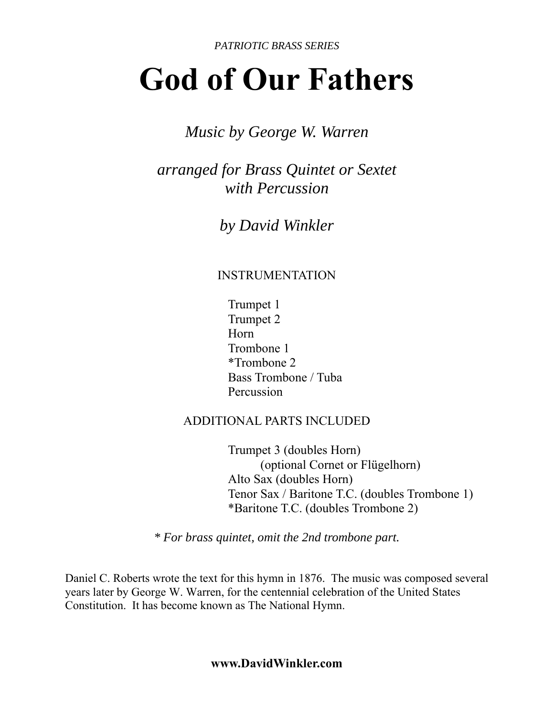*PATRIOTIC BRASS SERIES*

# **God of Our Fathers**

### *Music by George W. Warren*

*arranged for Brass Quintet or Sextet with Percussion* 

*by David Winkler* 

#### INSTRUMENTATION

 Trumpet 1 Trumpet 2 Horn Trombone 1 \*Trombone 2 Bass Trombone / Tuba Percussion

#### ADDITIONAL PARTS INCLUDED

 Trumpet 3 (doubles Horn) (optional Cornet or Flügelhorn) Alto Sax (doubles Horn) Tenor Sax / Baritone T.C. (doubles Trombone 1) \*Baritone T.C. (doubles Trombone 2)

*\* For brass quintet, omit the 2nd trombone part.* 

Daniel C. Roberts wrote the text for this hymn in 1876. The music was composed several years later by George W. Warren, for the centennial celebration of the United States Constitution. It has become known as The National Hymn.

**www.DavidWinkler.com**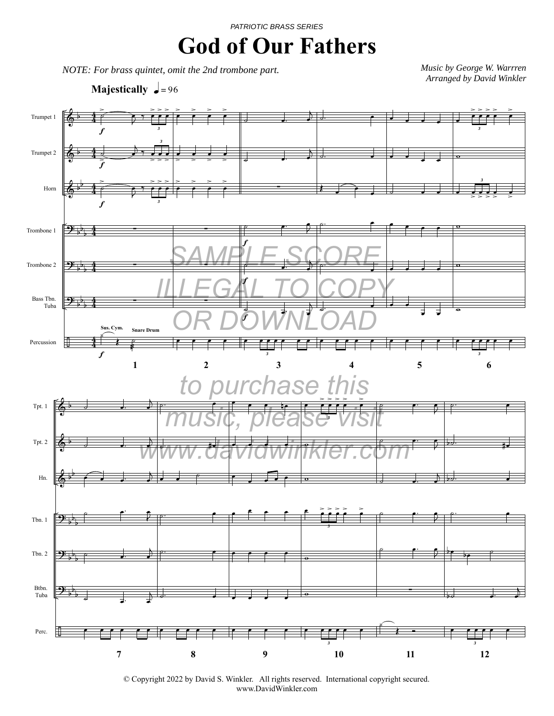## **God of Our Fathers**

*NOTE: For brass quintet, omit the 2nd trombone part.*

*Music by George W. Warrren Arranged by David Winkler* 

**Majestically**  $\sqrt{\frac{1}{2}} = 96$ 



<sup>©</sup> Copyright 2022 by David S. Winkler. All rights reserved. International copyright secured. www.DavidWinkler.com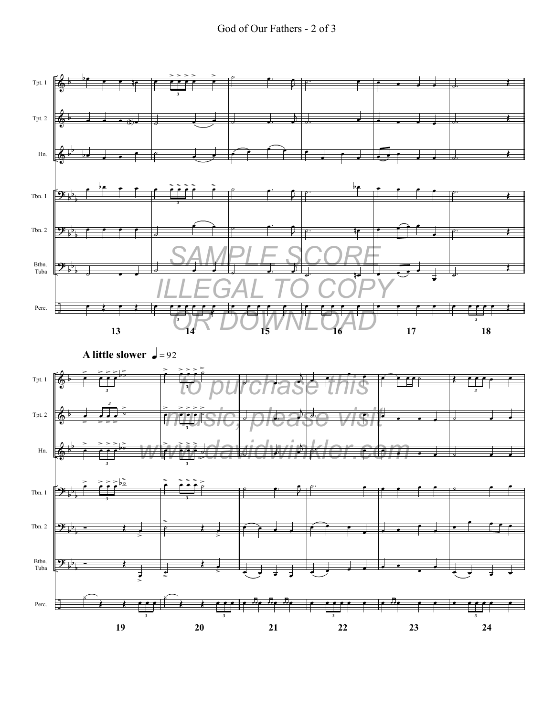